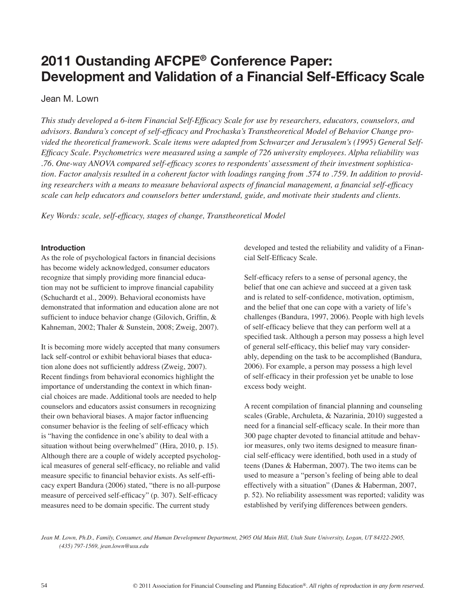# **2011 Oustanding AFCPE® Conference Paper: Development and Validation of a Financial Self-Efficacy Scale**

# Jean M. Lown

*This study developed a 6-item Financial Self-Efficacy Scale for use by researchers, educators, counselors, and advisors. Bandura's concept of self-efficacy and Prochaska's Transtheoretical Model of Behavior Change provided the theoretical framework. Scale items were adapted from Schwarzer and Jerusalem's (1995) General Self-Efficacy Scale. Psychometrics were measured using a sample of 726 university employees. Alpha reliability was .76. One-way ANOVA compared self-efficacy scores to respondents' assessment of their investment sophistication. Factor analysis resulted in a coherent factor with loadings ranging from .574 to .759. In addition to providing researchers with a means to measure behavioral aspects of financial management, a financial self-efficacy scale can help educators and counselors better understand, guide, and motivate their students and clients.* 

*Key Words: scale, self-efficacy, stages of change, Transtheoretical Model*

# **Introduction**

As the role of psychological factors in financial decisions has become widely acknowledged, consumer educators recognize that simply providing more financial education may not be sufficient to improve financial capability (Schuchardt et al., 2009). Behavioral economists have demonstrated that information and education alone are not sufficient to induce behavior change (Gilovich, Griffin, & Kahneman, 2002; Thaler & Sunstein, 2008; Zweig, 2007).

It is becoming more widely accepted that many consumers lack self-control or exhibit behavioral biases that education alone does not sufficiently address (Zweig, 2007). Recent findings from behavioral economics highlight the importance of understanding the context in which financial choices are made. Additional tools are needed to help counselors and educators assist consumers in recognizing their own behavioral biases. A major factor influencing consumer behavior is the feeling of self-efficacy which is "having the confidence in one's ability to deal with a situation without being overwhelmed" (Hira, 2010, p. 15). Although there are a couple of widely accepted psychological measures of general self-efficacy, no reliable and valid measure specific to financial behavior exists. As self-efficacy expert Bandura (2006) stated, "there is no all-purpose measure of perceived self-efficacy" (p. 307). Self-efficacy measures need to be domain specific. The current study

developed and tested the reliability and validity of a Financial Self-Efficacy Scale.

Self-efficacy refers to a sense of personal agency, the belief that one can achieve and succeed at a given task and is related to self-confidence, motivation, optimism, and the belief that one can cope with a variety of life's challenges (Bandura, 1997, 2006). People with high levels of self-efficacy believe that they can perform well at a specified task. Although a person may possess a high level of general self-efficacy, this belief may vary considerably, depending on the task to be accomplished (Bandura, 2006). For example, a person may possess a high level of self-efficacy in their profession yet be unable to lose excess body weight.

A recent compilation of financial planning and counseling scales (Grable, Archuleta, & Nazarinia, 2010) suggested a need for a financial self-efficacy scale. In their more than 300 page chapter devoted to financial attitude and behavior measures, only two items designed to measure financial self-efficacy were identified, both used in a study of teens (Danes & Haberman, 2007). The two items can be used to measure a "person's feeling of being able to deal effectively with a situation" (Danes & Haberman, 2007, p. 52). No reliability assessment was reported; validity was established by verifying differences between genders.

*Jean M. Lown, Ph.D., Family, Consumer, and Human Development Department, 2905 Old Main Hill, Utah State University, Logan, UT 84322-2905, (435) 797-1569, jean.lown@usu.edu*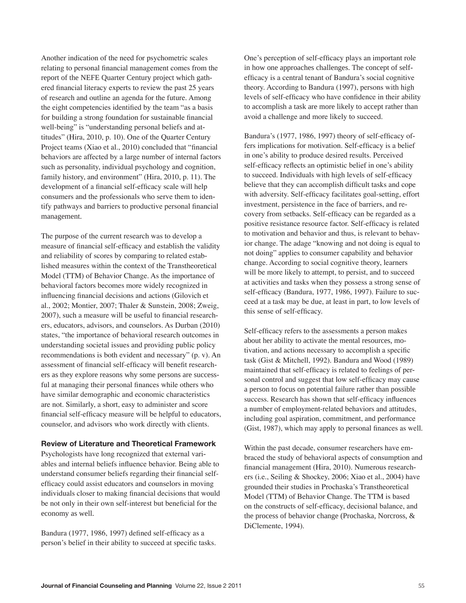Another indication of the need for psychometric scales relating to personal financial management comes from the report of the NEFE Quarter Century project which gathered financial literacy experts to review the past 25 years of research and outline an agenda for the future. Among the eight competencies identified by the team "as a basis for building a strong foundation for sustainable financial well-being" is "understanding personal beliefs and attitudes" (Hira, 2010, p. 10). One of the Quarter Century Project teams (Xiao et al., 2010) concluded that "financial behaviors are affected by a large number of internal factors such as personality, individual psychology and cognition, family history, and environment" (Hira, 2010, p. 11). The development of a financial self-efficacy scale will help consumers and the professionals who serve them to identify pathways and barriers to productive personal financial management.

The purpose of the current research was to develop a measure of financial self-efficacy and establish the validity and reliability of scores by comparing to related established measures within the context of the Transtheoretical Model (TTM) of Behavior Change. As the importance of behavioral factors becomes more widely recognized in influencing financial decisions and actions (Gilovich et al., 2002; Montier, 2007; Thaler & Sunstein, 2008; Zweig, 2007), such a measure will be useful to financial researchers, educators, advisors, and counselors. As Durban (2010) states, "the importance of behavioral research outcomes in understanding societal issues and providing public policy recommendations is both evident and necessary" (p. v). An assessment of financial self-efficacy will benefit researchers as they explore reasons why some persons are successful at managing their personal finances while others who have similar demographic and economic characteristics are not. Similarly, a short, easy to administer and score financial self-efficacy measure will be helpful to educators, counselor, and advisors who work directly with clients.

## **Review of Literature and Theoretical Framework**

Psychologists have long recognized that external variables and internal beliefs influence behavior. Being able to understand consumer beliefs regarding their financial selfefficacy could assist educators and counselors in moving individuals closer to making financial decisions that would be not only in their own self-interest but beneficial for the economy as well.

Bandura (1977, 1986, 1997) defined self-efficacy as a person's belief in their ability to succeed at specific tasks. One's perception of self-efficacy plays an important role in how one approaches challenges. The concept of selfefficacy is a central tenant of Bandura's social cognitive theory. According to Bandura (1997), persons with high levels of self-efficacy who have confidence in their ability to accomplish a task are more likely to accept rather than avoid a challenge and more likely to succeed.

Bandura's (1977, 1986, 1997) theory of self-efficacy offers implications for motivation. Self-efficacy is a belief in one's ability to produce desired results. Perceived self-efficacy reflects an optimistic belief in one's ability to succeed. Individuals with high levels of self-efficacy believe that they can accomplish difficult tasks and cope with adversity. Self-efficacy facilitates goal-setting, effort investment, persistence in the face of barriers, and recovery from setbacks. Self-efficacy can be regarded as a positive resistance resource factor. Self-efficacy is related to motivation and behavior and thus, is relevant to behavior change. The adage "knowing and not doing is equal to not doing" applies to consumer capability and behavior change. According to social cognitive theory, learners will be more likely to attempt, to persist, and to succeed at activities and tasks when they possess a strong sense of self-efficacy (Bandura, 1977, 1986, 1997). Failure to succeed at a task may be due, at least in part, to low levels of this sense of self-efficacy.

Self-efficacy refers to the assessments a person makes about her ability to activate the mental resources, motivation, and actions necessary to accomplish a specific task (Gist & Mitchell, 1992). Bandura and Wood (1989) maintained that self-efficacy is related to feelings of personal control and suggest that low self-efficacy may cause a person to focus on potential failure rather than possible success. Research has shown that self-efficacy influences a number of employment-related behaviors and attitudes, including goal aspiration, commitment, and performance (Gist, 1987), which may apply to personal finances as well.

Within the past decade, consumer researchers have embraced the study of behavioral aspects of consumption and financial management (Hira, 2010). Numerous researchers (i.e., Seiling & Shockey, 2006; Xiao et al., 2004) have grounded their studies in Prochaska's Transtheoretical Model (TTM) of Behavior Change. The TTM is based on the constructs of self-efficacy, decisional balance, and the process of behavior change (Prochaska, Norcross, & DiClemente, 1994).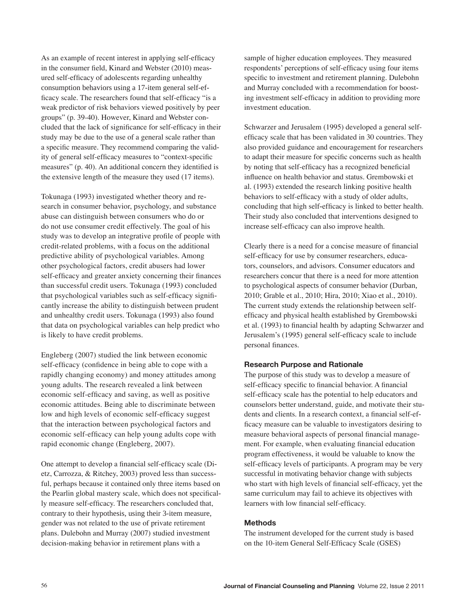As an example of recent interest in applying self-efficacy in the consumer field, Kinard and Webster (2010) measured self-efficacy of adolescents regarding unhealthy consumption behaviors using a 17-item general self-efficacy scale. The researchers found that self-efficacy "is a weak predictor of risk behaviors viewed positively by peer groups" (p. 39-40). However, Kinard and Webster concluded that the lack of significance for self-efficacy in their study may be due to the use of a general scale rather than a specific measure. They recommend comparing the validity of general self-efficacy measures to "context-specific measures" (p. 40). An additional concern they identified is the extensive length of the measure they used (17 items).

Tokunaga (1993) investigated whether theory and research in consumer behavior, psychology, and substance abuse can distinguish between consumers who do or do not use consumer credit effectively. The goal of his study was to develop an integrative profile of people with credit-related problems, with a focus on the additional predictive ability of psychological variables. Among other psychological factors, credit abusers had lower self-efficacy and greater anxiety concerning their finances than successful credit users. Tokunaga (1993) concluded that psychological variables such as self-efficacy significantly increase the ability to distinguish between prudent and unhealthy credit users. Tokunaga (1993) also found that data on psychological variables can help predict who is likely to have credit problems.

Engleberg (2007) studied the link between economic self-efficacy (confidence in being able to cope with a rapidly changing economy) and money attitudes among young adults. The research revealed a link between economic self-efficacy and saving, as well as positive economic attitudes. Being able to discriminate between low and high levels of economic self-efficacy suggest that the interaction between psychological factors and economic self-efficacy can help young adults cope with rapid economic change (Engleberg, 2007).

One attempt to develop a financial self-efficacy scale (Dietz, Carrozza, & Ritchey, 2003) proved less than successful, perhaps because it contained only three items based on the Pearlin global mastery scale, which does not specifically measure self-efficacy. The researchers concluded that, contrary to their hypothesis, using their 3-item measure, gender was not related to the use of private retirement plans. Dulebohn and Murray (2007) studied investment decision-making behavior in retirement plans with a

sample of higher education employees. They measured respondents' perceptions of self-efficacy using four items specific to investment and retirement planning. Dulebohn and Murray concluded with a recommendation for boosting investment self-efficacy in addition to providing more investment education.

Schwarzer and Jerusalem (1995) developed a general selfefficacy scale that has been validated in 30 countries. They also provided guidance and encouragement for researchers to adapt their measure for specific concerns such as health by noting that self-efficacy has a recognized beneficial influence on health behavior and status. Grembowski et al. (1993) extended the research linking positive health behaviors to self-efficacy with a study of older adults, concluding that high self**-**efficacy is linked to better health. Their study also concluded that interventions designed to increase self-efficacy can also improve health.

Clearly there is a need for a concise measure of financial self-efficacy for use by consumer researchers, educators, counselors, and advisors. Consumer educators and researchers concur that there is a need for more attention to psychological aspects of consumer behavior (Durban, 2010; Grable et al., 2010; Hira, 2010; Xiao et al., 2010). The current study extends the relationship between selfefficacy and physical health established by Grembowski et al. (1993) to financial health by adapting Schwarzer and Jerusalem's (1995) general self-efficacy scale to include personal finances.

# **Research Purpose and Rationale**

The purpose of this study was to develop a measure of self-efficacy specific to financial behavior. A financial self-efficacy scale has the potential to help educators and counselors better understand, guide, and motivate their students and clients. In a research context, a financial self-efficacy measure can be valuable to investigators desiring to measure behavioral aspects of personal financial management. For example, when evaluating financial education program effectiveness, it would be valuable to know the self-efficacy levels of participants. A program may be very successful in motivating behavior change with subjects who start with high levels of financial self-efficacy, yet the same curriculum may fail to achieve its objectives with learners with low financial self-efficacy.

# **Methods**

The instrument developed for the current study is based on the 10-item General Self-Efficacy Scale (GSES)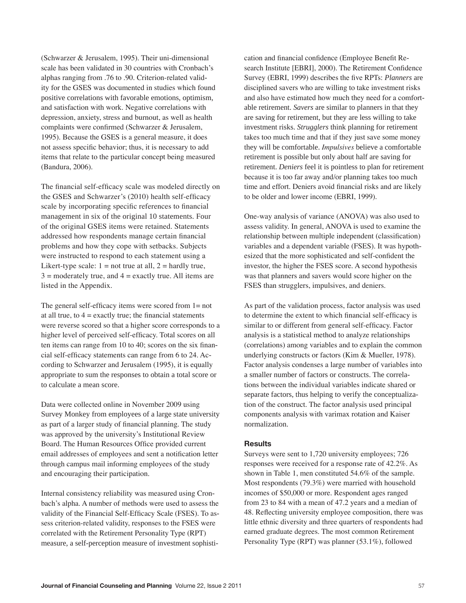(Schwarzer & Jerusalem, 1995). Their uni-dimensional scale has been validated in 30 countries with Cronbach's alphas ranging from .76 to .90. Criterion-related validity for the GSES was documented in studies which found positive correlations with favorable emotions, optimism, and satisfaction with work. Negative correlations with depression, anxiety, stress and burnout, as well as health complaints were confirmed (Schwarzer & Jerusalem, 1995). Because the GSES is a general measure, it does not assess specific behavior; thus, it is necessary to add items that relate to the particular concept being measured (Bandura, 2006).

The financial self-efficacy scale was modeled directly on the GSES and Schwarzer's (2010) health self-efficacy scale by incorporating specific references to financial management in six of the original 10 statements. Four of the original GSES items were retained. Statements addressed how respondents manage certain financial problems and how they cope with setbacks. Subjects were instructed to respond to each statement using a Likert-type scale:  $1 = not true$  at all,  $2 = hardly true$ ,  $3 =$  moderately true, and  $4 =$  exactly true. All items are listed in the Appendix.

The general self-efficacy items were scored from  $1=$  not at all true, to  $4 =$  exactly true; the financial statements were reverse scored so that a higher score corresponds to a higher level of perceived self-efficacy. Total scores on all ten items can range from 10 to 40; scores on the six financial self-efficacy statements can range from 6 to 24. According to Schwarzer and Jerusalem (1995), it is equally appropriate to sum the responses to obtain a total score or to calculate a mean score.

Data were collected online in November 2009 using Survey Monkey from employees of a large state university as part of a larger study of financial planning. The study was approved by the university's Institutional Review Board. The Human Resources Office provided current email addresses of employees and sent a notification letter through campus mail informing employees of the study and encouraging their participation.

Internal consistency reliability was measured using Cronbach's alpha. A number of methods were used to assess the validity of the Financial Self-Efficacy Scale (FSES). To assess criterion-related validity, responses to the FSES were correlated with the Retirement Personality Type (RPT) measure, a self-perception measure of investment sophistication and financial confidence (Employee Benefit Research Institute [EBRI], 2000). The Retirement Confidence Survey (EBRI, 1999) describes the five RPTs: *Planners* are disciplined savers who are willing to take investment risks and also have estimated how much they need for a comfortable retirement. *Savers* are similar to planners in that they are saving for retirement, but they are less willing to take investment risks. *Strugglers* think planning for retirement takes too much time and that if they just save some money they will be comfortable. *Impulsives* believe a comfortable retirement is possible but only about half are saving for retirement. *Deniers* feel it is pointless to plan for retirement because it is too far away and/or planning takes too much time and effort. Deniers avoid financial risks and are likely to be older and lower income (EBRI, 1999).

One-way analysis of variance (ANOVA) was also used to assess validity. In general, ANOVA is used to examine the relationship between multiple independent (classification) variables and a dependent variable (FSES). It was hypothesized that the more sophisticated and self-confident the investor, the higher the FSES score. A second hypothesis was that planners and savers would score higher on the FSES than strugglers, impulsives, and deniers.

As part of the validation process, factor analysis was used to determine the extent to which financial self-efficacy is similar to or different from general self-efficacy. Factor analysis is a statistical method to analyze relationships (correlations) among variables and to explain the common underlying constructs or factors (Kim & Mueller, 1978). Factor analysis condenses a large number of variables into a smaller number of factors or constructs. The correlations between the individual variables indicate shared or separate factors, thus helping to verify the conceptualization of the construct. The factor analysis used principal components analysis with varimax rotation and Kaiser normalization.

#### **Results**

Surveys were sent to 1,720 university employees; 726 responses were received for a response rate of 42.2%. As shown in Table 1, men constituted 54.6% of the sample. Most respondents (79.3%) were married with household incomes of \$50,000 or more. Respondent ages ranged from 23 to 84 with a mean of 47.2 years and a median of 48. Reflecting university employee composition, there was little ethnic diversity and three quarters of respondents had earned graduate degrees. The most common Retirement Personality Type (RPT) was planner (53.1%), followed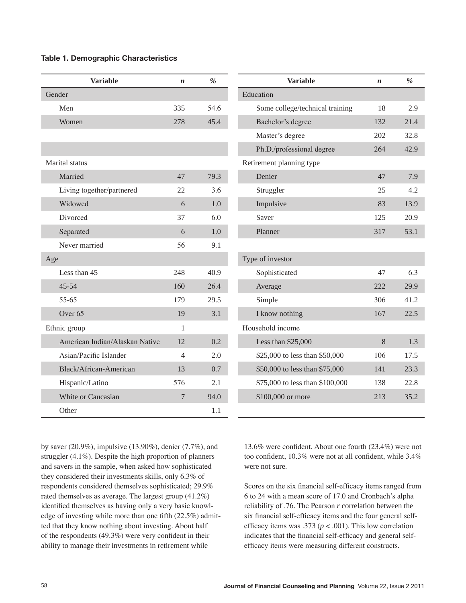#### **Table 1. Demographic Characteristics**

| <b>Variable</b>                | $\boldsymbol{n}$ | $\%$ | <b>Variable</b>                 | $\boldsymbol{n}$ |
|--------------------------------|------------------|------|---------------------------------|------------------|
| Gender                         |                  |      | Education                       |                  |
| Men                            | 335              | 54.6 | Some college/technical training | 18               |
| Women                          | 278              | 45.4 | Bachelor's degree               | 132              |
|                                |                  |      | Master's degree                 | 202              |
|                                |                  |      | Ph.D./professional degree       | 264              |
| Marital status                 |                  |      | Retirement planning type        |                  |
| Married                        | 47               | 79.3 | Denier                          | 47               |
| Living together/partnered      | 22               | 3.6  | Struggler                       | 25               |
| Widowed                        | 6                | 1.0  | Impulsive                       | 83               |
| Divorced                       | 37               | 6.0  | Saver                           | 125              |
| Separated                      | 6                | 1.0  | Planner                         | 317              |
| Never married                  | 56               | 9.1  |                                 |                  |
| Age                            |                  |      | Type of investor                |                  |
| Less than 45                   | 248              | 40.9 | Sophisticated                   | 47               |
| 45-54                          | 160              | 26.4 | Average                         | 222              |
| 55-65                          | 179              | 29.5 | Simple                          | 306              |
| Over <sub>65</sub>             | 19               | 3.1  | I know nothing                  | 167              |
| Ethnic group                   | $\mathbf{1}$     |      | Household income                |                  |
| American Indian/Alaskan Native | 12               | 0.2  | Less than \$25,000              | 8                |
| Asian/Pacific Islander         | $\overline{4}$   | 2.0  | \$25,000 to less than \$50,000  | 106              |
| Black/African-American         | 13               | 0.7  | \$50,000 to less than \$75,000  | 141              |
| Hispanic/Latino                | 576              | 2.1  | \$75,000 to less than \$100,000 | 138              |
| White or Caucasian             | $\overline{7}$   | 94.0 | \$100,000 or more               | 213              |
| Other                          |                  | 1.1  |                                 |                  |

by saver (20.9%), impulsive (13.90%), denier (7.7%), and struggler (4.1%). Despite the high proportion of planners and savers in the sample, when asked how sophisticated they considered their investments skills, only 6.3% of respondents considered themselves sophisticated; 29.9% rated themselves as average. The largest group (41.2%) identified themselves as having only a very basic knowledge of investing while more than one fifth (22.5%) admitted that they know nothing about investing. About half of the respondents (49.3%) were very confident in their ability to manage their investments in retirement while

13.6% were confident. About one fourth (23.4%) were not too confident, 10.3% were not at all confident, while 3.4% were not sure.

 2.9 21.4 32.8 42.9

 7.9 4.2 13.9 20.9 53.1

 6.3 29.9 41.2 22.5

 1.3 17.5 23.3 22.8 35.2

Scores on the six financial self-efficacy items ranged from 6 to 24 with a mean score of 17.0 and Cronbach's alpha reliability of .76. The Pearson *r* correlation between the six financial self-efficacy items and the four general selfefficacy items was .373 ( $p < .001$ ). This low correlation indicates that the financial self-efficacy and general selfefficacy items were measuring different constructs.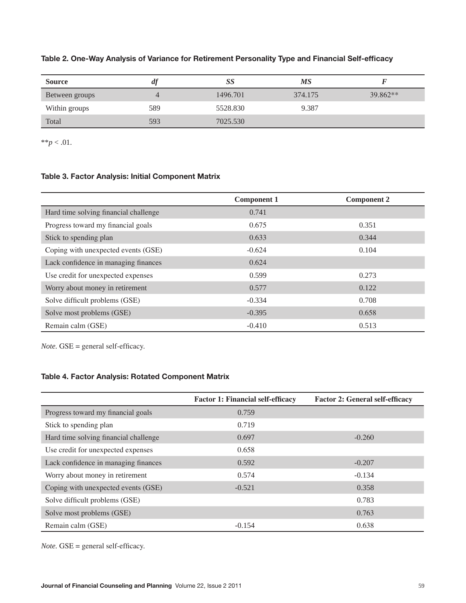| <b>Source</b>  | at  | SS       | МS      |          |
|----------------|-----|----------|---------|----------|
| Between groups |     | 1496.701 | 374.175 | 39.862** |
| Within groups  | 589 | 5528.830 | 9.387   |          |
| Total          | 593 | 7025.530 |         |          |

# **Table 2. One-Way Analysis of Variance for Retirement Personality Type and Financial Self-efficacy**

\*\* $p < .01$ .

# **Table 3. Factor Analysis: Initial Component Matrix**

|                                       | <b>Component 1</b> | <b>Component 2</b> |
|---------------------------------------|--------------------|--------------------|
| Hard time solving financial challenge | 0.741              |                    |
| Progress toward my financial goals    | 0.675              | 0.351              |
| Stick to spending plan                | 0.633              | 0.344              |
| Coping with unexpected events (GSE)   | $-0.624$           | 0.104              |
| Lack confidence in managing finances  | 0.624              |                    |
| Use credit for unexpected expenses    | 0.599              | 0.273              |
| Worry about money in retirement       | 0.577              | 0.122              |
| Solve difficult problems (GSE)        | $-0.334$           | 0.708              |
| Solve most problems (GSE)             | $-0.395$           | 0.658              |
| Remain calm (GSE)                     | $-0.410$           | 0.513              |

*Note.* GSE = general self-efficacy.

# **Table 4. Factor Analysis: Rotated Component Matrix**

|                                       | <b>Factor 1: Financial self-efficacy</b> | <b>Factor 2: General self-efficacy</b> |
|---------------------------------------|------------------------------------------|----------------------------------------|
| Progress toward my financial goals    | 0.759                                    |                                        |
| Stick to spending plan                | 0.719                                    |                                        |
| Hard time solving financial challenge | 0.697                                    | $-0.260$                               |
| Use credit for unexpected expenses    | 0.658                                    |                                        |
| Lack confidence in managing finances  | 0.592                                    | $-0.207$                               |
| Worry about money in retirement       | 0.574                                    | $-0.134$                               |
| Coping with unexpected events (GSE)   | $-0.521$                                 | 0.358                                  |
| Solve difficult problems (GSE)        |                                          | 0.783                                  |
| Solve most problems (GSE)             |                                          | 0.763                                  |
| Remain calm (GSE)                     | $-0.154$                                 | 0.638                                  |

*Note.* GSE = general self-efficacy.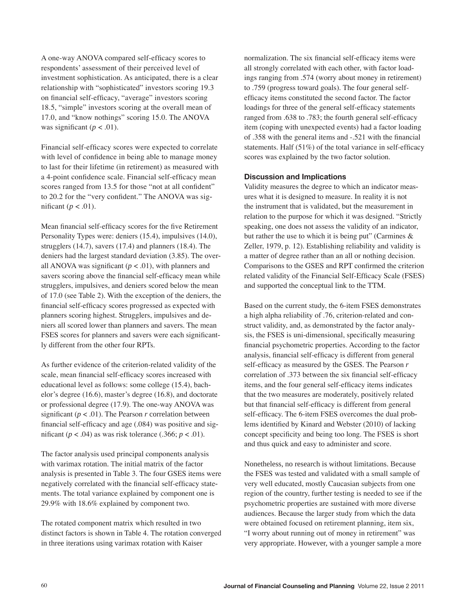A one-way ANOVA compared self-efficacy scores to respondents' assessment of their perceived level of investment sophistication. As anticipated, there is a clear relationship with "sophisticated" investors scoring 19.3 on financial self-efficacy, "average" investors scoring 18.5, "simple" investors scoring at the overall mean of 17.0, and "know nothings" scoring 15.0. The ANOVA was significant  $(p < .01)$ .

Financial self-efficacy scores were expected to correlate with level of confidence in being able to manage money to last for their lifetime (in retirement) as measured with a 4-point confidence scale. Financial self-efficacy mean scores ranged from 13.5 for those "not at all confident" to 20.2 for the "very confident." The ANOVA was significant  $(p < .01)$ .

Mean financial self-efficacy scores for the five Retirement Personality Types were: deniers (15.4), impulsives (14.0), strugglers (14.7), savers (17.4) and planners (18.4). The deniers had the largest standard deviation (3.85). The overall ANOVA was significant  $(p < .01)$ , with planners and savers scoring above the financial self-efficacy mean while strugglers, impulsives, and deniers scored below the mean of 17.0 (see Table 2). With the exception of the deniers, the financial self-efficacy scores progressed as expected with planners scoring highest. Strugglers, impulsives and deniers all scored lower than planners and savers. The mean FSES scores for planners and savers were each significantly different from the other four RPTs.

As further evidence of the criterion-related validity of the scale, mean financial self-efficacy scores increased with educational level as follows: some college (15.4), bachelor's degree (16.6), master's degree (16.8), and doctorate or professional degree (17.9). The one-way ANOVA was significant ( $p < .01$ ). The Pearson  $r$  correlation between financial self-efficacy and age (.084) was positive and significant ( $p < .04$ ) as was risk tolerance ( $.366$ ;  $p < .01$ ).

The factor analysis used principal components analysis with varimax rotation. The initial matrix of the factor analysis is presented in Table 3. The four GSES items were negatively correlated with the financial self-efficacy statements. The total variance explained by component one is 29.9% with 18.6% explained by component two.

The rotated component matrix which resulted in two distinct factors is shown in Table 4. The rotation converged in three iterations using varimax rotation with Kaiser

normalization. The six financial self-efficacy items were all strongly correlated with each other, with factor loadings ranging from .574 (worry about money in retirement) to .759 (progress toward goals). The four general selfefficacy items constituted the second factor. The factor loadings for three of the general self-efficacy statements ranged from .638 to .783; the fourth general self-efficacy item (coping with unexpected events) had a factor loading of .358 with the general items and -.521 with the financial statements. Half (51%) of the total variance in self-efficacy scores was explained by the two factor solution.

#### **Discussion and Implications**

Validity measures the degree to which an indicator measures what it is designed to measure. In reality it is not the instrument that is validated, but the measurement in relation to the purpose for which it was designed. "Strictly speaking, one does not assess the validity of an indicator, but rather the use to which it is being put" (Carmines  $\&$ Zeller, 1979, p. 12). Establishing reliability and validity is a matter of degree rather than an all or nothing decision. Comparisons to the GSES and RPT confirmed the criterion related validity of the Financial Self-Efficacy Scale (FSES) and supported the conceptual link to the TTM.

Based on the current study, the 6-item FSES demonstrates a high alpha reliability of .76, criterion-related and construct validity, and, as demonstrated by the factor analysis, the FSES is uni-dimensional, specifically measuring financial psychometric properties. According to the factor analysis, financial self-efficacy is different from general self-efficacy as measured by the GSES. The Pearson *r* correlation of .373 between the six financial self-efficacy items, and the four general self-efficacy items indicates that the two measures are moderately, positively related but that financial self-efficacy is different from general self-efficacy. The 6-item FSES overcomes the dual problems identified by Kinard and Webster (2010) of lacking concept specificity and being too long. The FSES is short and thus quick and easy to administer and score.

Nonetheless, no research is without limitations. Because the FSES was tested and validated with a small sample of very well educated, mostly Caucasian subjects from one region of the country, further testing is needed to see if the psychometric properties are sustained with more diverse audiences. Because the larger study from which the data were obtained focused on retirement planning, item six, "I worry about running out of money in retirement" was very appropriate. However, with a younger sample a more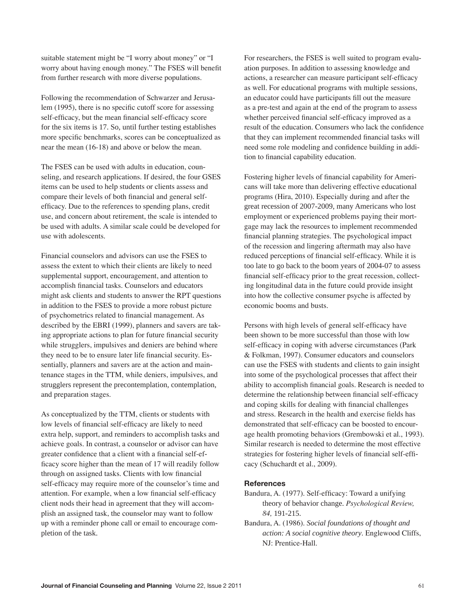suitable statement might be "I worry about money" or "I worry about having enough money." The FSES will benefit from further research with more diverse populations.

Following the recommendation of Schwarzer and Jerusalem (1995), there is no specific cutoff score for assessing self-efficacy, but the mean financial self-efficacy score for the six items is 17. So, until further testing establishes more specific benchmarks, scores can be conceptualized as near the mean (16-18) and above or below the mean.

The FSES can be used with adults in education, counseling, and research applications. If desired, the four GSES items can be used to help students or clients assess and compare their levels of both financial and general selfefficacy. Due to the references to spending plans, credit use, and concern about retirement, the scale is intended to be used with adults. A similar scale could be developed for use with adolescents.

Financial counselors and advisors can use the FSES to assess the extent to which their clients are likely to need supplemental support, encouragement, and attention to accomplish financial tasks. Counselors and educators might ask clients and students to answer the RPT questions in addition to the FSES to provide a more robust picture of psychometrics related to financial management. As described by the EBRI (1999), planners and savers are taking appropriate actions to plan for future financial security while strugglers, impulsives and deniers are behind where they need to be to ensure later life financial security. Essentially, planners and savers are at the action and maintenance stages in the TTM, while deniers, impulsives, and strugglers represent the precontemplation, contemplation, and preparation stages.

As conceptualized by the TTM, clients or students with low levels of financial self-efficacy are likely to need extra help, support, and reminders to accomplish tasks and achieve goals. In contrast, a counselor or advisor can have greater confidence that a client with a financial self-efficacy score higher than the mean of 17 will readily follow through on assigned tasks. Clients with low financial self-efficacy may require more of the counselor's time and attention. For example, when a low financial self-efficacy client nods their head in agreement that they will accomplish an assigned task, the counselor may want to follow up with a reminder phone call or email to encourage completion of the task.

For researchers, the FSES is well suited to program evaluation purposes. In addition to assessing knowledge and actions, a researcher can measure participant self-efficacy as well. For educational programs with multiple sessions, an educator could have participants fill out the measure as a pre-test and again at the end of the program to assess whether perceived financial self-efficacy improved as a result of the education. Consumers who lack the confidence that they can implement recommended financial tasks will need some role modeling and confidence building in addition to financial capability education.

Fostering higher levels of financial capability for Americans will take more than delivering effective educational programs (Hira, 2010). Especially during and after the great recession of 2007-2009, many Americans who lost employment or experienced problems paying their mortgage may lack the resources to implement recommended financial planning strategies. The psychological impact of the recession and lingering aftermath may also have reduced perceptions of financial self-efficacy. While it is too late to go back to the boom years of 2004-07 to assess financial self-efficacy prior to the great recession, collecting longitudinal data in the future could provide insight into how the collective consumer psyche is affected by economic booms and busts.

Persons with high levels of general self-efficacy have been shown to be more successful than those with low self-efficacy in coping with adverse circumstances (Park & Folkman, 1997). Consumer educators and counselors can use the FSES with students and clients to gain insight into some of the psychological processes that affect their ability to accomplish financial goals. Research is needed to determine the relationship between financial self-efficacy and coping skills for dealing with financial challenges and stress. Research in the health and exercise fields has demonstrated that self-efficacy can be boosted to encourage health promoting behaviors (Grembowski et al., 1993). Similar research is needed to determine the most effective strategies for fostering higher levels of financial self-efficacy (Schuchardt et al., 2009).

# **References**

- Bandura, A. (1977). Self-efficacy: Toward a unifying theory of behavior change. *Psychological Review, 84,* 191-215.
- Bandura, A. (1986). *Social foundations of thought and action: A social cognitive theory*. Englewood Cliffs, NJ: Prentice-Hall.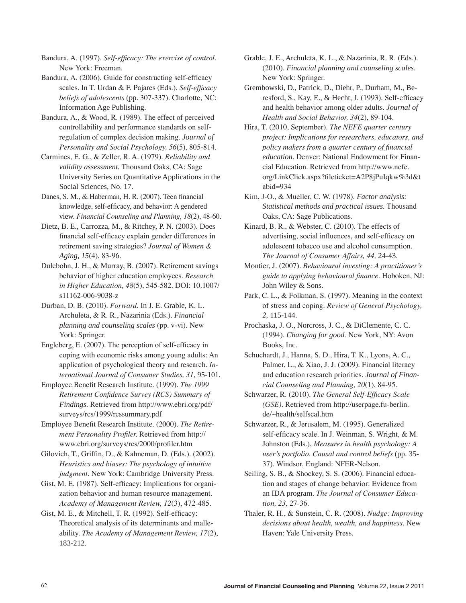Bandura, A. (1997). *Self-efficacy: The exercise of control.* New York: Freeman.

Bandura, A. (2006). Guide for constructing self-efficacy scales. In T. Urdan & F. Pajares (Eds.). *Self-efficacy beliefs of adolescents* (pp. 307-337). Charlotte, NC: Information Age Publishing.

Bandura, A., & Wood, R. (1989). The effect of perceived controllability and performance standards on selfregulation of complex decision making. *Journal of Personality and Social Psychology, 56*(5), 805-814.

Carmines, E. G., & Zeller, R. A. (1979). *Reliability and validity assessment.* Thousand Oaks, CA: Sage University Series on Quantitative Applications in the Social Sciences, No. 17.

Danes, S. M., & Haberman, H. R. (2007). Teen financial knowledge, self-efficacy, and behavior: A gendered view. *Financial Counseling and Planning, 18*(2), 48-60.

Dietz, B. E., Carrozza, M., & Ritchey, P. N*.* (2003). Does financial self-efficacy explain gender differences in retirement saving strategies? *Journal of Women & Aging*, *15*(4), 83-96.

Dulebohn, J. H., & Murray, B. (2007). Retirement savings behavior of higher education employees. *Research in Higher Education*, *48*(5), 545-582. DOI: 10.1007/ s11162-006-9038-z

Durban, D. B. (2010). *Forward.* In J. E. Grable, K. L. Archuleta, & R. R., Nazarinia (Eds.). *Financial planning and counseling scales* (pp. v-vi). New York: Springer.

Engleberg, E. (2007). The perception of self-efficacy in coping with economic risks among young adults: An application of psychological theory and research. *International Journal of Consumer Studies, 31,* 95-101.

Employee Benefit Research Institute. (1999). *The 1999 Retirement Confidence Survey (RCS) Summary of Findings.* Retrieved from http://www.ebri.org/pdf/ surveys/rcs/1999/rcssummary.pdf

Employee Benefit Research Institute. (2000). *The Retirement Personality Profiler.* Retrieved from http:// www.ebri.org/surveys/rcs/2000/profiler.htm

Gilovich, T., Griffin, D., & Kahneman, D. (Eds.). (2002). *Heuristics and biases: The psychology of intuitive judgment*. New York: Cambridge University Press.

Gist, M. E. (1987). Self-efficacy: Implications for organization behavior and human resource management. *Academy of Management Review, 12*(3), 472-485.

Gist, M. E., & Mitchell, T. R. (1992). Self-efficacy: Theoretical analysis of its determinants and malleability. *The Academy of Management Review, 17*(2), 183-212.

Grable, J. E., Archuleta, K. L., & Nazarinia, R. R. (Eds.). (2010). *Financial planning and counseling scales*. New York: Springer.

Grembowski, D., Patrick, D., Diehr, P., Durham, M., Beresford, S., Kay, E., & Hecht, J. (1993). Self-efficacy and health behavior among older adults. *Journal of Health and Social Behavior, 34*(2), 89-104.

Hira, T. (2010, September). *The NEFE quarter century project: Implications for researchers, educators, and policy makers from a quarter century of financial education.* Denver: National Endowment for Financial Education. Retrieved from http://www.nefe. org/LinkClick.aspx?fileticket=A2P8jPuIqkw%3d&t abid=934

Kim, J-O., & Mueller, C. W. (1978). *Factor analysis: Statistical methods and practical issues.* Thousand Oaks, CA: Sage Publications.

Kinard, B. R., & Webster, C. (2010). The effects of advertising, social influences, and self-efficacy on adolescent tobacco use and alcohol consumption. *The Journal of Consumer Affairs, 44,* 24-43.

Montier, J. (2007). *Behavioural investing: A practitioner's guide to applying behavioural finance.* Hoboken, NJ: John Wiley & Sons.

Park, C. L., & Folkman, S. (1997). Meaning in the context of stress and coping. *Review of General Psychology, 2,* 115-144.

Prochaska, J. O., Norcross, J. C., & DiClemente, C. C. (1994). *Changing for good.* New York, NY: Avon Books, Inc.

Schuchardt, J., Hanna, S. D., Hira, T. K., Lyons, A. C., Palmer, L., & Xiao, J. J. (2009). Financial literacy and education research priorities. *Journal of Financial Counseling and Planning, 20*(1), 84-95.

Schwarzer, R. (2010). *The General Self-Efficacy Scale (GSE)*. Retrieved from http://userpage.fu-berlin. de/~health/selfscal.htm

Schwarzer, R., & Jerusalem, M. (1995). Generalized self-efficacy scale. In J. Weinman, S. Wright, & M. Johnston (Eds.), *Measures in health psychology: A user's portfolio. Causal and control beliefs* (pp. 35- 37). Windsor, England: NFER-Nelson.

Seiling, S. B., & Shockey, S. S. (2006). Financial education and stages of change behavior: Evidence from an IDA program. *The Journal of Consumer Education, 23,* 27-36.

Thaler, R. H., & Sunstein, C. R. (2008). *Nudge: Improving decisions about health, wealth, and happiness*. New Haven: Yale University Press.